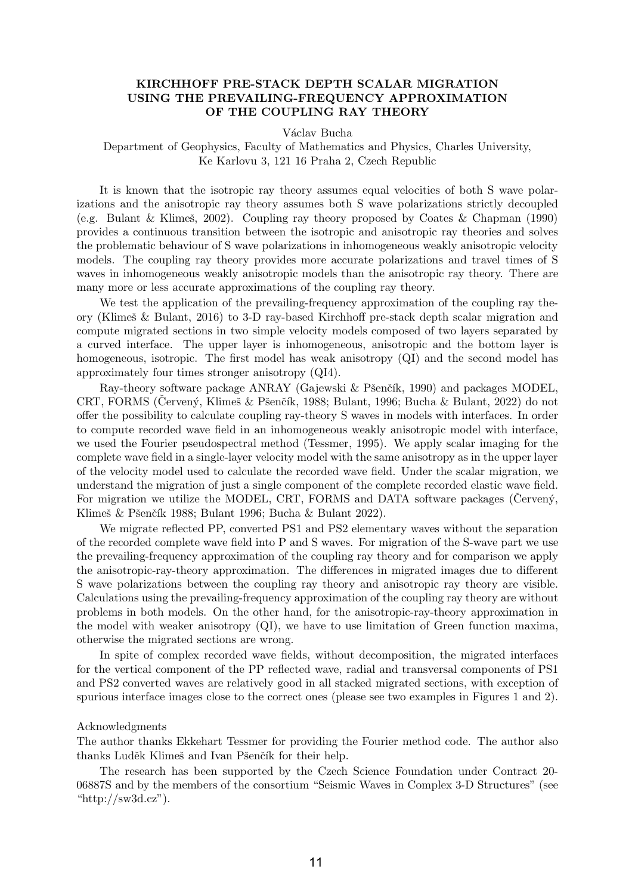## KIRCHHOFF PRE-STACK DEPTH SCALAR MIGRATION USING THE PREVAILING-FREQUENCY APPROXIMATION OF THE COUPLING RAY THEORY

Václav Bucha

Department of Geophysics, Faculty of Mathematics and Physics, Charles University, Ke Karlovu 3, 121 16 Praha 2, Czech Republic

It is known that the isotropic ray theory assumes equal velocities of both S wave polarizations and the anisotropic ray theory assumes both S wave polarizations strictly decoupled (e.g. Bulant & Klimeš, 2002). Coupling ray theory proposed by Coates & Chapman (1990) provides a continuous transition between the isotropic and anisotropic ray theories and solves the problematic behaviour of S wave polarizations in inhomogeneous weakly anisotropic velocity models. The coupling ray theory provides more accurate polarizations and travel times of S waves in inhomogeneous weakly anisotropic models than the anisotropic ray theory. There are many more or less accurate approximations of the coupling ray theory.

We test the application of the prevailing-frequency approximation of the coupling ray theory (Klimeˇs & Bulant, 2016) to 3-D ray-based Kirchhoff pre-stack depth scalar migration and compute migrated sections in two simple velocity models composed of two layers separated by a curved interface. The upper layer is inhomogeneous, anisotropic and the bottom layer is homogeneous, isotropic. The first model has weak anisotropy (QI) and the second model has approximately four times stronger anisotropy (QI4).

Ray-theory software package ANRAY (Gajewski & Pšenčík, 1990) and packages MODEL, CRT, FORMS (Cervený, Klimeš & Pšenčík, 1988; Bulant, 1996; Bucha & Bulant, 2022) do not offer the possibility to calculate coupling ray-theory S waves in models with interfaces. In order to compute recorded wave field in an inhomogeneous weakly anisotropic model with interface, we used the Fourier pseudospectral method (Tessmer, 1995). We apply scalar imaging for the complete wave field in a single-layer velocity model with the same anisotropy as in the upper layer of the velocity model used to calculate the recorded wave field. Under the scalar migration, we understand the migration of just a single component of the complete recorded elastic wave field. For migration we utilize the MODEL, CRT, FORMS and DATA software packages (Cerveny, Klimeš  $&$  Pšenčík 1988; Bulant 1996; Bucha  $&$  Bulant 2022).

We migrate reflected PP, converted PS1 and PS2 elementary waves without the separation of the recorded complete wave field into P and S waves. For migration of the S-wave part we use the prevailing-frequency approximation of the coupling ray theory and for comparison we apply the anisotropic-ray-theory approximation. The differences in migrated images due to different S wave polarizations between the coupling ray theory and anisotropic ray theory are visible. Calculations using the prevailing-frequency approximation of the coupling ray theory are without problems in both models. On the other hand, for the anisotropic-ray-theory approximation in the model with weaker anisotropy (QI), we have to use limitation of Green function maxima, otherwise the migrated sections are wrong.

In spite of complex recorded wave fields, without decomposition, the migrated interfaces for the vertical component of the PP reflected wave, radial and transversal components of PS1 and PS2 converted waves are relatively good in all stacked migrated sections, with exception of spurious interface images close to the correct ones (please see two examples in Figures 1 and 2).

## Acknowledgments

The author thanks Ekkehart Tessmer for providing the Fourier method code. The author also thanks Luděk Klimeš and Ivan Pšenčík for their help.

The research has been supported by the Czech Science Foundation under Contract 20- 06887S and by the members of the consortium "Seismic Waves in Complex 3-D Structures" (see "http://sw $3d.cz$ ").